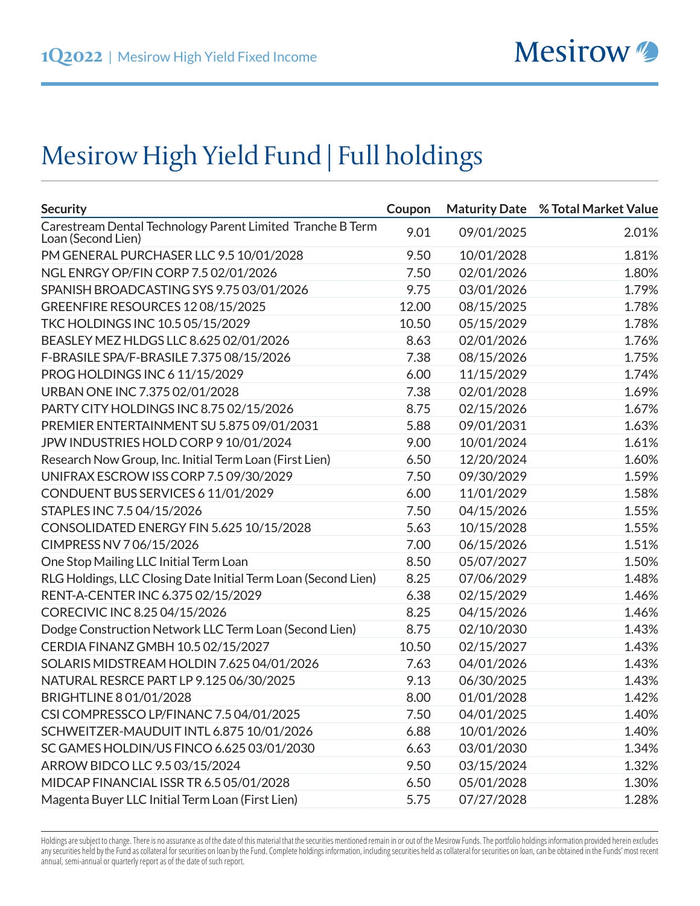## Mesirow High Yield Fund | Full holdings

| <b>Security</b>                                                                  | Coupon |            | <b>Maturity Date % Total Market Value</b> |
|----------------------------------------------------------------------------------|--------|------------|-------------------------------------------|
| Carestream Dental Technology Parent Limited Tranche B Term<br>Loan (Second Lien) | 9.01   | 09/01/2025 | 2.01%                                     |
| PM GENERAL PURCHASER LLC 9.5 10/01/2028                                          | 9.50   | 10/01/2028 | 1.81%                                     |
| NGL ENRGY OP/FIN CORP 7.5 02/01/2026                                             | 7.50   | 02/01/2026 | 1.80%                                     |
| SPANISH BROADCASTING SYS 9.75 03/01/2026                                         | 9.75   | 03/01/2026 | 1.79%                                     |
| GREENFIRE RESOURCES 1208/15/2025                                                 | 12.00  | 08/15/2025 | 1.78%                                     |
| TKC HOLDINGS INC 10.5 05/15/2029                                                 | 10.50  | 05/15/2029 | 1.78%                                     |
| BEASLEY MEZ HLDGS LLC 8.625 02/01/2026                                           | 8.63   | 02/01/2026 | 1.76%                                     |
| F-BRASILE SPA/F-BRASILE 7.375 08/15/2026                                         | 7.38   | 08/15/2026 | 1.75%                                     |
| PROG HOLDINGS INC 6 11/15/2029                                                   | 6.00   | 11/15/2029 | 1.74%                                     |
| URBAN ONE INC 7.375 02/01/2028                                                   | 7.38   | 02/01/2028 | 1.69%                                     |
| PARTY CITY HOLDINGS INC 8.75 02/15/2026                                          | 8.75   | 02/15/2026 | 1.67%                                     |
| PREMIER ENTERTAINMENT SU 5.875 09/01/2031                                        | 5.88   | 09/01/2031 | 1.63%                                     |
| JPW INDUSTRIES HOLD CORP 9 10/01/2024                                            | 9.00   | 10/01/2024 | 1.61%                                     |
| Research Now Group, Inc. Initial Term Loan (First Lien)                          | 6.50   | 12/20/2024 | 1.60%                                     |
| UNIFRAX ESCROW ISS CORP 7.5 09/30/2029                                           | 7.50   | 09/30/2029 | 1.59%                                     |
| CONDUENT BUS SERVICES 6 11/01/2029                                               | 6.00   | 11/01/2029 | 1.58%                                     |
| STAPLES INC 7.5 04/15/2026                                                       | 7.50   | 04/15/2026 | 1.55%                                     |
| CONSOLIDATED ENERGY FIN 5.625 10/15/2028                                         | 5.63   | 10/15/2028 | 1.55%                                     |
| CIMPRESS NV 7 06/15/2026                                                         | 7.00   | 06/15/2026 | 1.51%                                     |
| One Stop Mailing LLC Initial Term Loan                                           | 8.50   | 05/07/2027 | 1.50%                                     |
| RLG Holdings, LLC Closing Date Initial Term Loan (Second Lien)                   | 8.25   | 07/06/2029 | 1.48%                                     |
| RENT-A-CENTER INC 6.375 02/15/2029                                               | 6.38   | 02/15/2029 | 1.46%                                     |
| CORECIVIC INC 8.25 04/15/2026                                                    | 8.25   | 04/15/2026 | 1.46%                                     |
| Dodge Construction Network LLC Term Loan (Second Lien)                           | 8.75   | 02/10/2030 | 1.43%                                     |
| CERDIA FINANZ GMBH 10.5 02/15/2027                                               | 10.50  | 02/15/2027 | 1.43%                                     |
| SOLARIS MIDSTREAM HOLDIN 7.625 04/01/2026                                        | 7.63   | 04/01/2026 | 1.43%                                     |
| NATURAL RESRCE PART LP 9.125 06/30/2025                                          | 9.13   | 06/30/2025 | 1.43%                                     |
| BRIGHTLINE 8 01/01/2028                                                          | 8.00   | 01/01/2028 | 1.42%                                     |
| CSI COMPRESSCO LP/FINANC 7.5 04/01/2025                                          | 7.50   | 04/01/2025 | 1.40%                                     |
| SCHWEITZER-MAUDUIT INTL 6.875 10/01/2026                                         | 6.88   | 10/01/2026 | 1.40%                                     |
| SC GAMES HOLDIN/US FINCO 6.625 03/01/2030                                        | 6.63   | 03/01/2030 | 1.34%                                     |
| ARROW BIDCO LLC 9.5 03/15/2024                                                   | 9.50   | 03/15/2024 | 1.32%                                     |
| MIDCAP FINANCIAL ISSR TR 6.5 05/01/2028                                          | 6.50   | 05/01/2028 | 1.30%                                     |
| Magenta Buyer LLC Initial Term Loan (First Lien)                                 | 5.75   | 07/27/2028 | 1.28%                                     |

Holdings are subject to change. There is no assurance as of the date of this material that the securities mentioned remain in or out of the Mesirow Funds. The portfolio holdings information provided herein excludes any securities held by the Fund as collateral for securities on loan by the Fund. Complete holdings information, including securities held as collateral for securities on loan, can be obtained in the Funds' most recent annual, semi-annual or quarterly report as of the date of such report.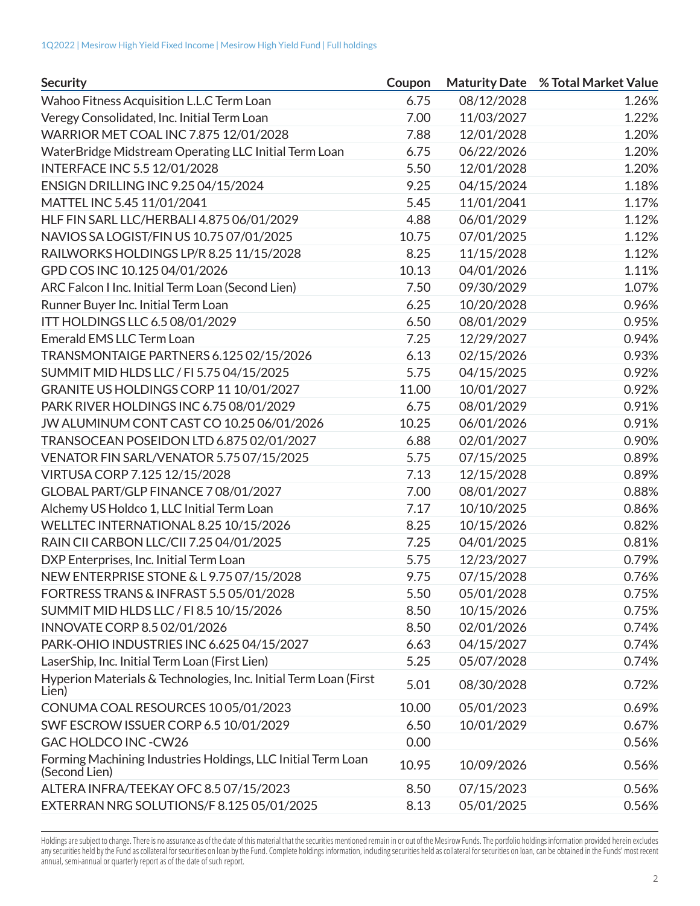| <b>Security</b>                                                               | Coupon |            | <b>Maturity Date % Total Market Value</b> |
|-------------------------------------------------------------------------------|--------|------------|-------------------------------------------|
| Wahoo Fitness Acquisition L.L.C Term Loan                                     | 6.75   | 08/12/2028 | 1.26%                                     |
| Veregy Consolidated, Inc. Initial Term Loan                                   | 7.00   | 11/03/2027 | 1.22%                                     |
| WARRIOR MET COAL INC 7.875 12/01/2028                                         | 7.88   | 12/01/2028 | 1.20%                                     |
| WaterBridge Midstream Operating LLC Initial Term Loan                         | 6.75   | 06/22/2026 | 1.20%                                     |
| <b>INTERFACE INC 5.5 12/01/2028</b>                                           | 5.50   | 12/01/2028 | 1.20%                                     |
| ENSIGN DRILLING INC 9.25 04/15/2024                                           | 9.25   | 04/15/2024 | 1.18%                                     |
| MATTEL INC 5.45 11/01/2041                                                    | 5.45   | 11/01/2041 | 1.17%                                     |
| HLF FIN SARL LLC/HERBALI 4.875 06/01/2029                                     | 4.88   | 06/01/2029 | 1.12%                                     |
| NAVIOS SA LOGIST/FIN US 10.75 07/01/2025                                      | 10.75  | 07/01/2025 | 1.12%                                     |
| RAILWORKS HOLDINGS LP/R 8.25 11/15/2028                                       | 8.25   | 11/15/2028 | 1.12%                                     |
| GPD COS INC 10.125 04/01/2026                                                 | 10.13  | 04/01/2026 | 1.11%                                     |
| ARC Falcon I Inc. Initial Term Loan (Second Lien)                             | 7.50   | 09/30/2029 | 1.07%                                     |
| Runner Buyer Inc. Initial Term Loan                                           | 6.25   | 10/20/2028 | 0.96%                                     |
| ITT HOLDINGS LLC 6.5 08/01/2029                                               | 6.50   | 08/01/2029 | 0.95%                                     |
| Emerald EMS LLC Term Loan                                                     | 7.25   | 12/29/2027 | 0.94%                                     |
| TRANSMONTAIGE PARTNERS 6.125 02/15/2026                                       | 6.13   | 02/15/2026 | 0.93%                                     |
| SUMMIT MID HLDS LLC / FI 5.75 04/15/2025                                      | 5.75   | 04/15/2025 | 0.92%                                     |
| GRANITE US HOLDINGS CORP 11 10/01/2027                                        | 11.00  | 10/01/2027 | 0.92%                                     |
| PARK RIVER HOLDINGS INC 6.75 08/01/2029                                       | 6.75   | 08/01/2029 | 0.91%                                     |
| JW ALUMINUM CONT CAST CO 10.25 06/01/2026                                     | 10.25  | 06/01/2026 | 0.91%                                     |
| TRANSOCEAN POSEIDON LTD 6.875 02/01/2027                                      | 6.88   | 02/01/2027 | 0.90%                                     |
| VENATOR FIN SARL/VENATOR 5.75 07/15/2025                                      | 5.75   | 07/15/2025 | 0.89%                                     |
| VIRTUSA CORP 7.125 12/15/2028                                                 | 7.13   | 12/15/2028 | 0.89%                                     |
| GLOBAL PART/GLP FINANCE 708/01/2027                                           | 7.00   | 08/01/2027 | 0.88%                                     |
| Alchemy US Holdco 1, LLC Initial Term Loan                                    | 7.17   | 10/10/2025 | 0.86%                                     |
| WELLTEC INTERNATIONAL 8.25 10/15/2026                                         | 8.25   | 10/15/2026 | 0.82%                                     |
| RAIN CII CARBON LLC/CII 7.25 04/01/2025                                       | 7.25   | 04/01/2025 | 0.81%                                     |
| DXP Enterprises, Inc. Initial Term Loan                                       | 5.75   | 12/23/2027 | 0.79%                                     |
| NEW ENTERPRISE STONE & L 9.75 07/15/2028                                      | 9.75   | 07/15/2028 | 0.76%                                     |
| FORTRESS TRANS & INFRAST 5.5 05/01/2028                                       | 5.50   | 05/01/2028 | 0.75%                                     |
| SUMMIT MID HLDS LLC / FI 8.5 10/15/2026                                       | 8.50   | 10/15/2026 | 0.75%                                     |
| INNOVATE CORP 8.5 02/01/2026                                                  | 8.50   | 02/01/2026 | 0.74%                                     |
| PARK-OHIO INDUSTRIES INC 6.625 04/15/2027                                     | 6.63   | 04/15/2027 | 0.74%                                     |
| LaserShip, Inc. Initial Term Loan (First Lien)                                | 5.25   | 05/07/2028 | 0.74%                                     |
| Hyperion Materials & Technologies, Inc. Initial Term Loan (First<br>Lien)     | 5.01   | 08/30/2028 | 0.72%                                     |
| CONUMA COAL RESOURCES 1005/01/2023                                            | 10.00  | 05/01/2023 | 0.69%                                     |
| SWF ESCROW ISSUER CORP 6.5 10/01/2029                                         | 6.50   | 10/01/2029 | 0.67%                                     |
| GAC HOLDCO INC-CW26                                                           | 0.00   |            | 0.56%                                     |
| Forming Machining Industries Holdings, LLC Initial Term Loan<br>(Second Lien) | 10.95  | 10/09/2026 | 0.56%                                     |
| ALTERA INFRA/TEEKAY OFC 8.5 07/15/2023                                        | 8.50   | 07/15/2023 | 0.56%                                     |
| EXTERRAN NRG SOLUTIONS/F 8.125 05/01/2025                                     | 8.13   | 05/01/2025 | 0.56%                                     |

Holdings are subject to change. There is no assurance as of the date of this material that the securities mentioned remain in or out of the Mesirow Funds. The portfolio holdings information provided herein excludes any securities held by the Fund as collateral for securities on loan by the Fund. Complete holdings information, including securities held as collateral for securities on loan, can be obtained in the Funds' most recent annual, semi-annual or quarterly report as of the date of such report.